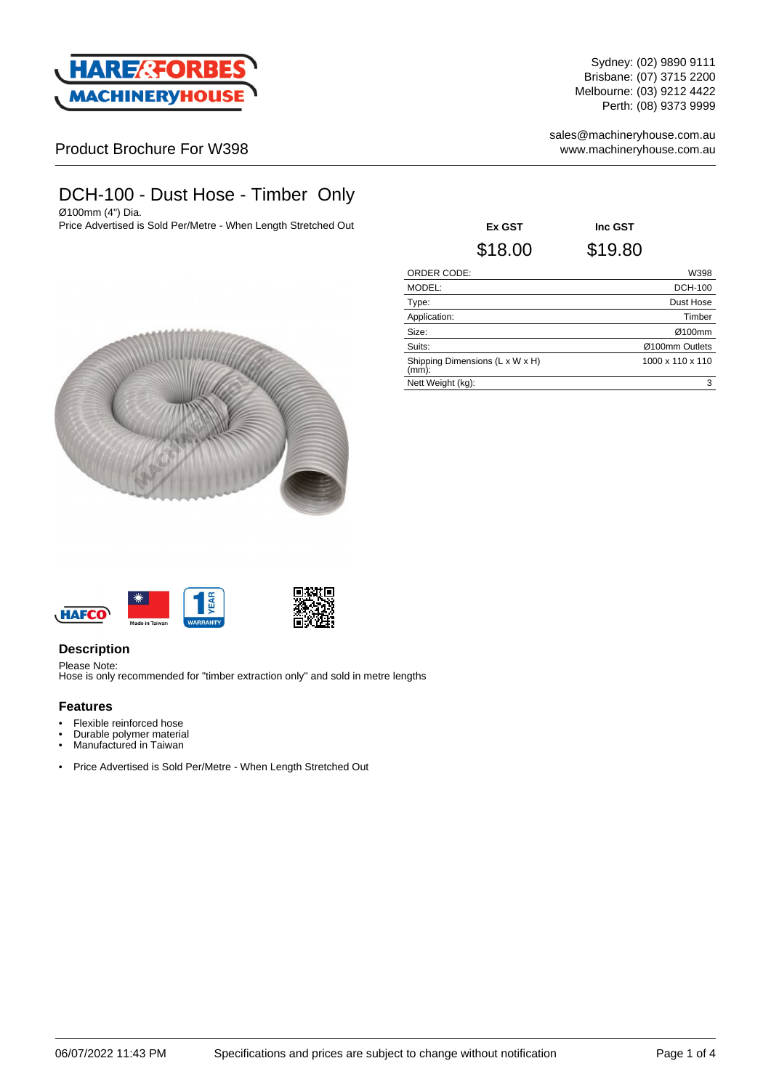

Sydney: (02) 9890 9111 Brisbane: (07) 3715 2200 Melbourne: (03) 9212 4422 Perth: (08) 9373 9999

sales@machineryhouse.com.au www.machineryhouse.com.au

Product Brochure For W398

# DCH-100 - Dust Hose - Timber Only

Ø100mm (4") Dia. Price Advertised is Sold Per/Metre - When Length Stretched Out **Ex GST Inc GST**







## **Description**

Please Note: Hose is only recommended for "timber extraction only" and sold in metre lengths

#### **Features**

• Flexible reinforced hose

- Durable polymer material
- Manufactured in Taiwan
- Price Advertised is Sold Per/Metre When Length Stretched Out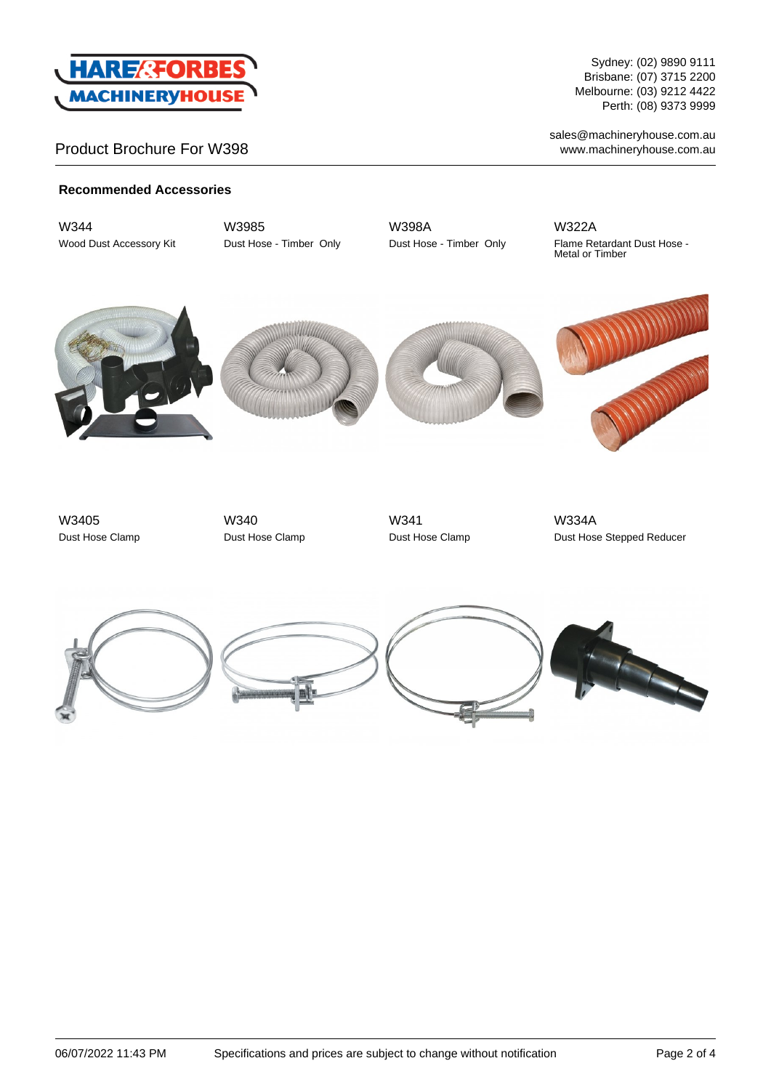

# Product Brochure For W398

Sydney: (02) 9890 9111 Brisbane: (07) 3715 2200 Melbourne: (03) 9212 4422 Perth: (08) 9373 9999

sales@machineryhouse.com.au www.machineryhouse.com.au

### **Recommended Accessories**

W344 Wood Dust Accessory Kit W3985 Dust Hose - Timber Only W398A Dust Hose - Timber Only

W322A Flame Retardant Dust Hose - Metal or Timber









W3405 Dust Hose Clamp

W340 Dust Hose Clamp



W334A Dust Hose Stepped Reducer

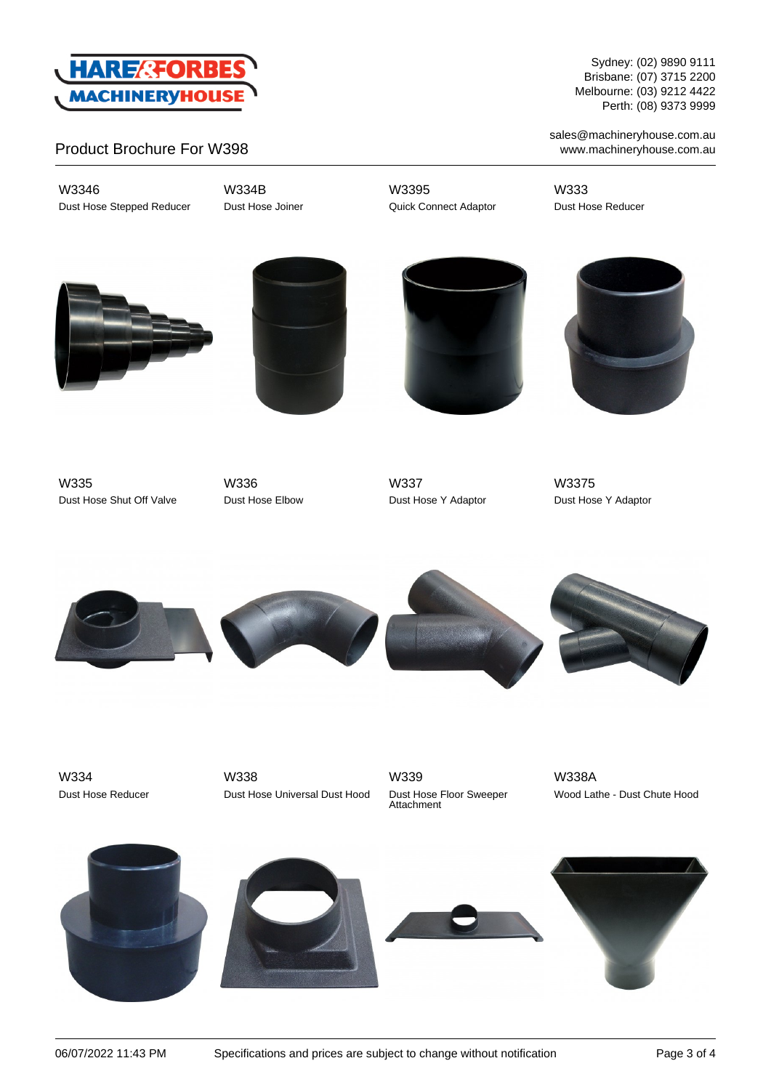

Product Brochure For W398

W3346 Dust Hose Stepped Reducer W334B Dust Hose Joiner W3395 Quick Connect Adaptor

W333 Dust Hose Reducer









W335 Dust Hose Shut Off Valve

W336 Dust Hose Elbow

W337 Dust Hose Y Adaptor

W3375 Dust Hose Y Adaptor



W334 Dust Hose Reducer

W338 Dust Hose Universal Dust Hood W339 Dust Hose Floor Sweeper Attachment

W338A Wood Lathe - Dust Chute Hood









sales@machineryhouse.com.au www.machineryhouse.com.au